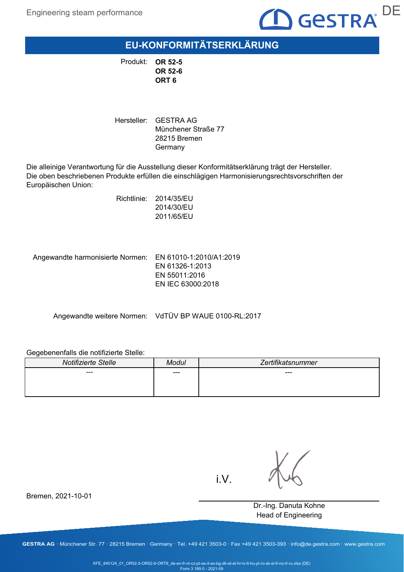

**EU-KONFORMITÄTSERKLÄRUNG**

Produkt: **OR 52-5 OR 52-6 ORT 6**

Hersteller: GESTRA AG Münchener Straße 77 28215 Bremen Germany

Die alleinige Verantwortung für die Ausstellung dieser Konformitätserklärung trägt der Hersteller. Die oben beschriebenen Produkte erfüllen die einschlägigen Harmonisierungsrechtsvorschriften der Europäischen Union:

> Richtlinie: 2014/35/EU 2014/30/EU 2011/65/EU

Angewandte harmonisierte Normen: EN 61010-1:2010/A1:2019

EN 61326-1:2013 EN 55011:2016 EN IEC 63000:2018

Angewandte weitere Normen: VdTÜV BP WAUE 0100-RL:2017

#### Gegebenenfalls die notifizierte Stelle:

Bremen, 2021-10-01

| Notifizierte Stelle | Modul | Zertifikatsnummer |
|---------------------|-------|-------------------|
| ---                 | ---   | $---$             |
|                     |       |                   |
|                     |       |                   |

i.V.

Dr.-Ing. Danuta Kohne Head of Engineering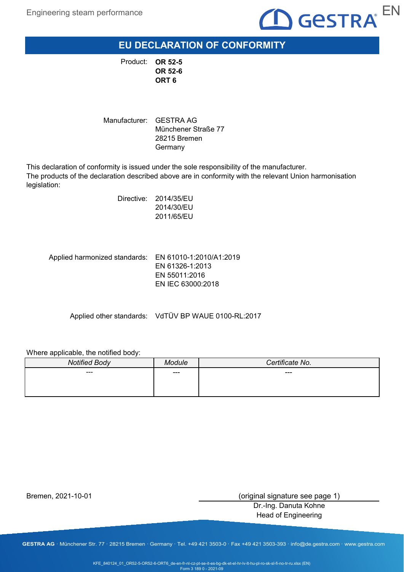

**EU DECLARATION OF CONFORMITY**

**OR 52-5** Product: **OR 52-6 ORT 6**

Manufacturer: GESTRA AG Münchener Straße 77 28215 Bremen Germany

This declaration of conformity is issued under the sole responsibility of the manufacturer. The products of the declaration described above are in conformity with the relevant Union harmonisation legislation:

> Directive: 2014/35/EU 2014/30/EU 2011/65/EU

Applied harmonized standards: EN 61010-1:2010/A1:2019 EN 61326-1:2013 EN 55011:2016 EN IEC 63000:2018

Applied other standards: VdTÜV BP WAUE 0100-RL:2017

Where applicable, the notified body:

| <b>Notified Body</b> | <b>Aodule</b> | Certificate No. |
|----------------------|---------------|-----------------|
| ---                  | ---           | ---             |
|                      |               |                 |
|                      |               |                 |

Bremen, 2021-10-01

(original signature see page 1)

Dr.-Ing. Danuta Kohne Head of Engineering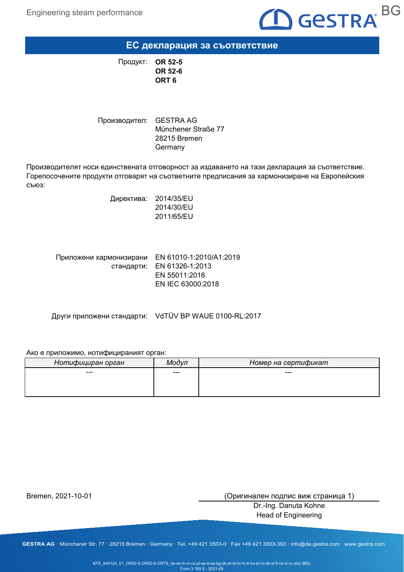

**ЕС декларация за съответствие**

**OR 52-5 OR 52-6 ORT 6** Продукт:

Производител: GESTRA AG Münchener Straße 77 28215 Bremen Germany

Производителят носи единствената отговорност за издаването на тази декларация за съответствие. Горепосочените продукти отговарят на съответните предписания за хармонизиране на Европейския съюз:

> Директива: 2014/35/EU 2014/30/EU 2011/65/EU

Приложени хармонизирани EN 61010-1:2010/A1:2019 стандарти: EN 61326-1:2013 EN 55011:2016 EN IEC 63000:2018

Други приложени стандарти: VdTÜV BP WAUE 0100-RL:2017

#### Ако е приложимо, нотифицираният орган:

| Нотифициран орган | М∩∂∨п | Номер на сертификат |
|-------------------|-------|---------------------|
| ---               | ---   | ---                 |
|                   |       |                     |
|                   |       |                     |

Bremen, 2021-10-01

(Оригинален подпис виж страница 1)

Dr.-Ing. Danuta Kohne Head of Engineering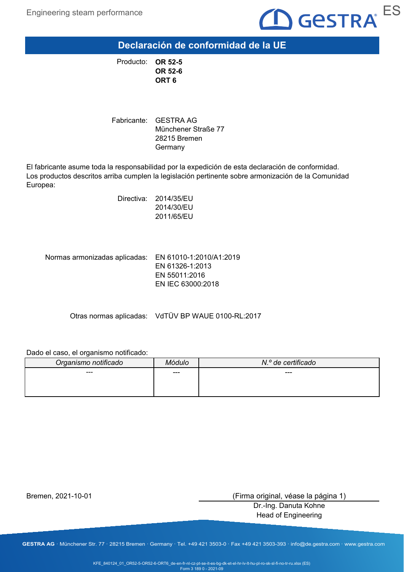

**Declaración de conformidad de la UE**

**OR 52-5** Producto: **OR 52-6 ORT 6**

Fabricante: GESTRA AG Münchener Straße 77 28215 Bremen Germany

El fabricante asume toda la responsabilidad por la expedición de esta declaración de conformidad. Los productos descritos arriba cumplen la legislación pertinente sobre armonización de la Comunidad Europea:

> Directiva: 2014/35/EU 2014/30/EU 2011/65/EU

Normas armonizadas aplicadas: EN 61010-1:2010/A1:2019 EN 61326-1:2013 EN 55011:2016 EN IEC 63000:2018

Otras normas aplicadas: VdTÜV BP WAUE 0100-RL:2017

#### Dado el caso, el organismo notificado:

| Organismo notificado | Aódulo | N.º de certificado |
|----------------------|--------|--------------------|
| ---                  | ---    | $---$              |
|                      |        |                    |
|                      |        |                    |

Bremen, 2021-10-01

(Firma original, véase la página 1)

Dr.-Ing. Danuta Kohne Head of Engineering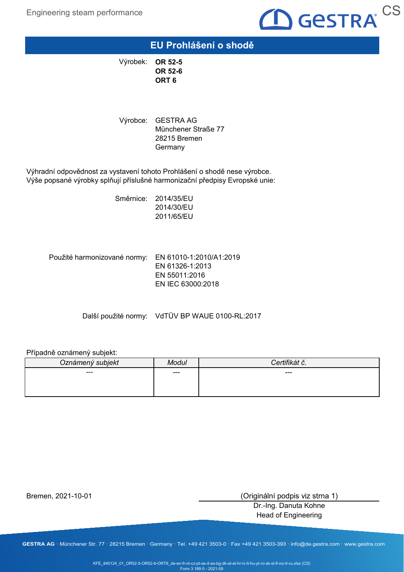

### **EU Prohlášení o shodě**

**OR 52-5** Výrobek: **OR 52-6 ORT 6**

Výrobce: GESTRA AG Münchener Straße 77 28215 Bremen **Germany** 

Výhradní odpovědnost za vystavení tohoto Prohlášení o shodě nese výrobce. Výše popsané výrobky splňují příslušné harmonizační předpisy Evropské unie:

> Směrnice: 2014/35/EU 2014/30/EU 2011/65/EU

Použité harmonizované normy: EN 61010-1:2010/A1:2019 EN 61326-1:2013 EN 55011:2016 EN IEC 63000:2018

Další použité normy: VdTÜV BP WAUE 0100-RL:2017

#### Případně oznámený subjekt:

| Oznámený subjekt | Modul | $\mathbf{r}$ . $\mathbf{r}$<br>nai c. |
|------------------|-------|---------------------------------------|
| ---              | ---   | ---                                   |
|                  |       |                                       |
|                  |       |                                       |

Bremen, 2021-10-01

(Originální podpis viz strna 1)

Dr.-Ing. Danuta Kohne Head of Engineering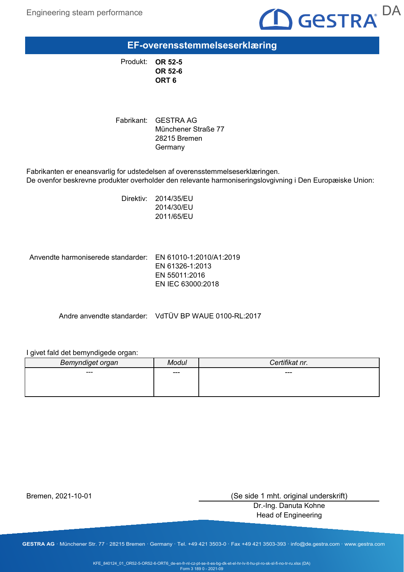

**EF-overensstemmelseserklæring**

**OR 52-5** Produkt: **OR 52-6 ORT 6**

Fabrikant: GESTRA AG Münchener Straße 77 28215 Bremen **Germany** 

Fabrikanten er eneansvarlig for udstedelsen af overensstemmelseserklæringen. De ovenfor beskrevne produkter overholder den relevante harmoniseringslovgivning i Den Europæiske Union:

> Direktiv: 2014/35/EU 2014/30/EU 2011/65/EU

Anvendte harmoniserede standarder: EN 61010-1:2010/A1:2019

EN 61326-1:2013 EN 55011:2016 EN IEC 63000:2018

Andre anvendte standarder: VdTÜV BP WAUE 0100-RL:2017

### I givet fald det bemyndigede organ:

| Bemyndiget organ | Modul | Certifikat nr. |
|------------------|-------|----------------|
| ---              | $---$ | ---            |
|                  |       |                |
|                  |       |                |

Bremen, 2021-10-01

(Se side 1 mht. original underskrift)

Dr.-Ing. Danuta Kohne Head of Engineering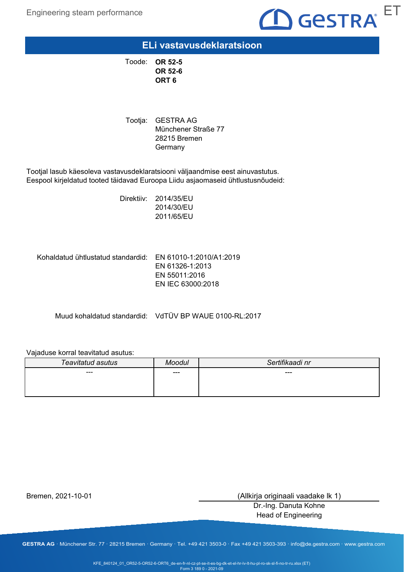

### **ELi vastavusdeklaratsioon**

**OR 52-5** Toode: **OR 52-6 ORT 6**

Tootja: GESTRA AG Münchener Straße 77 28215 Bremen **Germany** 

Tootjal lasub käesoleva vastavusdeklaratsiooni väljaandmise eest ainuvastutus. Eespool kirjeldatud tooted täidavad Euroopa Liidu asjaomaseid ühtlustusnõudeid:

> Direktiiv: 2014/35/EU 2014/30/EU 2011/65/EU

Kohaldatud ühtlustatud standardid:  $\,$  EN 61010-1:2010/A1:2019

EN 61326-1:2013 EN 55011:2016 EN IEC 63000:2018

Muud kohaldatud standardid: VdTÜV BP WAUE 0100-RL:2017

### Vajaduse korral teavitatud asutus:

| Teavitatud asutus | Moodul | Sertifikaadi nr |
|-------------------|--------|-----------------|
| $---$             | $---$  | $---$           |
|                   |        |                 |
|                   |        |                 |

Bremen, 2021-10-01

(Allkirja originaali vaadake lk 1)

Dr.-Ing. Danuta Kohne Head of Engineering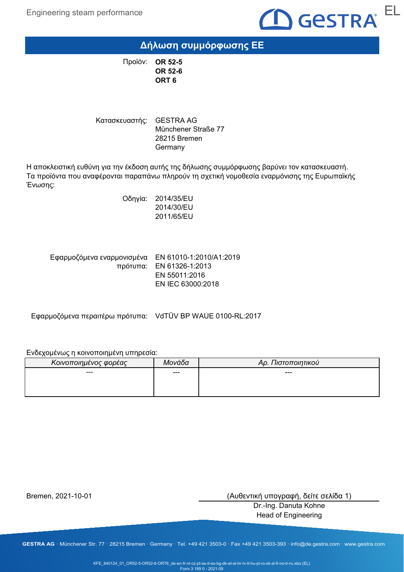

# **Δήλωση συμμόρφωσης ΕΕ**

**OR 52-5** Προϊόν: **OR 52-6 ORT 6**

Κατασκευαστής: GESTRA AG Münchener Straße 77 28215 Bremen Germany

Η αποκλειστική ευθύνη για την έκδοση αυτής της δήλωσης συμμόρφωσης βαρύνει τον κατασκευαστή. Τα προϊόντα που αναφέρονται παραπάνω πληρούν τη σχετική νομοθεσία εναρμόνισης της Ευρωπαϊκής Ένωσης:

> Οδηγία: 2014/35/EU 2014/30/EU 2011/65/EU

Εφαρμοζόμενα εναρμονισμένα = EN 61010-1:2010/A1:2019 πρότυπα: EN 61326-1:2013 EN 55011:2016 EN IEC 63000:2018

Εφαρμοζόμενα περαιτέρω πρότυπα: VdTÜV BP WAUE 0100-RL:2017

#### Ενδεχομένως η κοινοποιημένη υπηρεσία:

| Κοινοποιημένος φορέας | Μονάδα | Αρ. Πιστοποιητικού |
|-----------------------|--------|--------------------|
| ---                   | ---    | ---                |
|                       |        |                    |
|                       |        |                    |

Bremen, 2021-10-01

(Αυθεντική υπογραφή, δείτε σελίδα 1)

Dr.-Ing. Danuta Kohne Head of Engineering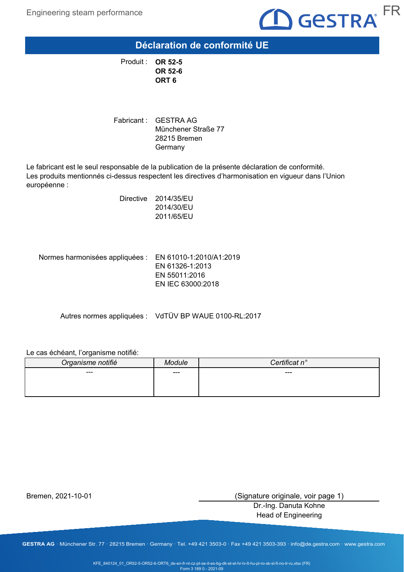

**Déclaration de conformité UE**

**OR 52-5** Produit : **OR 52-6 ORT 6**

Fabricant : GESTRA AG Münchener Straße 77 28215 Bremen Germany

Le fabricant est le seul responsable de la publication de la présente déclaration de conformité. Les produits mentionnés ci-dessus respectent les directives d'harmonisation en vigueur dans l'Union européenne :

> Directive 2014/35/EU 2014/30/EU 2011/65/EU

Normes harmonisées appliquées : EN 61010-1:2010/A1:2019 EN 61326-1:2013 EN 55011:2016 EN IEC 63000:2018

Autres normes appliquées : VdTÜV BP WAUE 0100-RL:2017

#### Le cas échéant, l'organisme notifié:

| Organisme notifié | dule | rtificat n°<br>`on |
|-------------------|------|--------------------|
| ---               | ---  | $---$              |
|                   |      |                    |
|                   |      |                    |

Bremen, 2021-10-01

(Signature originale, voir page 1)

Dr.-Ing. Danuta Kohne Head of Engineering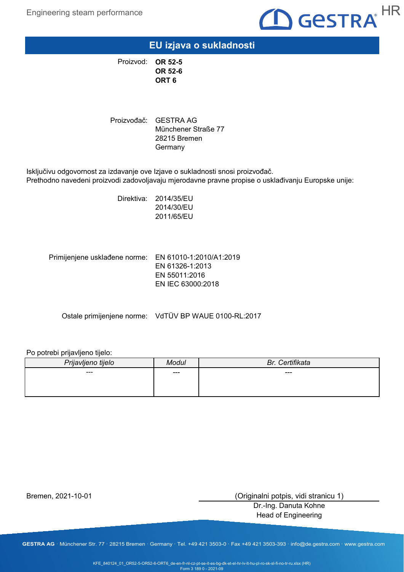

**EU izjava o sukladnosti**

**OR 52-5** Proizvod: **OR 52-6 ORT 6**

Proizvođač: GESTRA AG Münchener Straße 77 28215 Bremen **Germany** 

Isključivu odgovornost za izdavanje ove Izjave o sukladnosti snosi proizvođač. Prethodno navedeni proizvodi zadovoljavaju mjerodavne pravne propise o usklađivanju Europske unije:

> Direktiva: 2014/35/EU 2014/30/EU 2011/65/EU

Primijenjene usklađene norme: EN 61010-1:2010/A1:2019 EN 61326-1:2013 EN 55011:2016 EN IEC 63000:2018

Ostale primijenjene norme: VdTÜV BP WAUE 0100-RL:2017

#### Po potrebi prijavljeno tijelo:

| Prijavljeno tijelo | Modul | Br. Certifikata |
|--------------------|-------|-----------------|
| ---                | $---$ | ---             |
|                    |       |                 |
|                    |       |                 |

Bremen, 2021-10-01

(Originalni potpis, vidi stranicu 1)

Dr.-Ing. Danuta Kohne Head of Engineering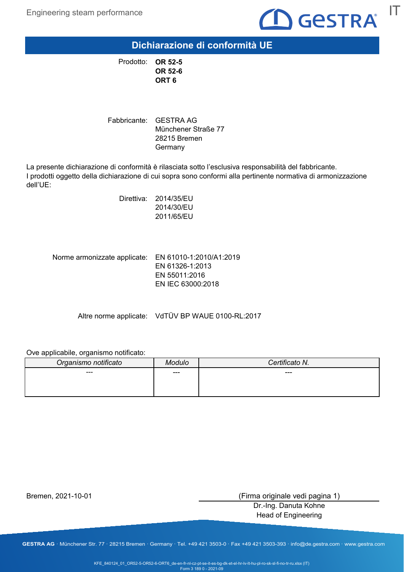

**Dichiarazione di conformità UE**

**OR 52-5** Prodotto: **OR 52-6 ORT 6**

Fabbricante: GESTRA AG Münchener Straße 77 28215 Bremen Germany

La presente dichiarazione di conformità è rilasciata sotto l'esclusiva responsabilità del fabbricante. I prodotti oggetto della dichiarazione di cui sopra sono conformi alla pertinente normativa di armonizzazione dell'UE:

> Direttiva: 2014/35/EU 2014/30/EU 2011/65/EU

Norme armonizzate applicate: EN 61010-1:2010/A1:2019 EN 61326-1:2013 EN 55011:2016 EN IEC 63000:2018

Altre norme applicate: VdTÜV BP WAUE 0100-RL:2017

Ove applicabile, organismo notificato:

| Organismo notificato | Modulo | Certificato N. |
|----------------------|--------|----------------|
| ---                  | ---    | ---            |
|                      |        |                |
|                      |        |                |

Bremen, 2021-10-01

(Firma originale vedi pagina 1)

Dr.-Ing. Danuta Kohne Head of Engineering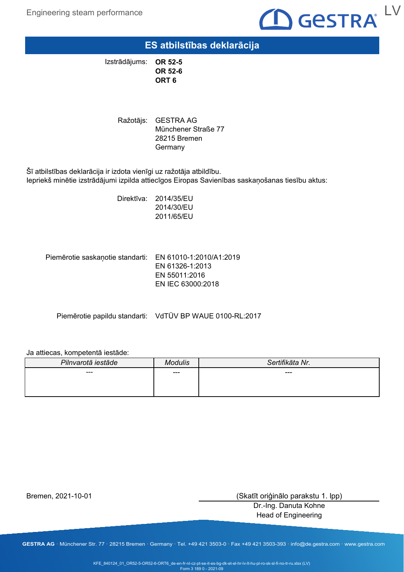Engineering steam performance



## **ES atbilstības deklarācija**

**OR 52-5 OR 52-6 ORT 6** Izstrādājums:

> Ražotājs: GESTRA AG Münchener Straße 77 28215 Bremen **Germany**

Šī atbilstības deklarācija ir izdota vienīgi uz ražotāja atbildību. Iepriekš minētie izstrādājumi izpilda attiecīgos Eiropas Savienības saskaņošanas tiesību aktus:

> Direktīva: 2014/35/EU 2014/30/EU 2011/65/EU

Piemērotie saskaņotie standarti: EN 61010-1:2010/A1:2019 EN 61326-1:2013 EN 55011:2016 EN IEC 63000:2018

Piemērotie papildu standarti: VdTÜV BP WAUE 0100-RL:2017

#### Ja attiecas, kompetentā iestāde:

| Pilnvarotā iestāde | Modulis | Sertifikāta Nr. |
|--------------------|---------|-----------------|
| ---                | $---$   | ---             |
|                    |         |                 |
|                    |         |                 |

Bremen, 2021-10-01

(Skatīt oriģinālo parakstu 1. lpp)

Dr.-Ing. Danuta Kohne Head of Engineering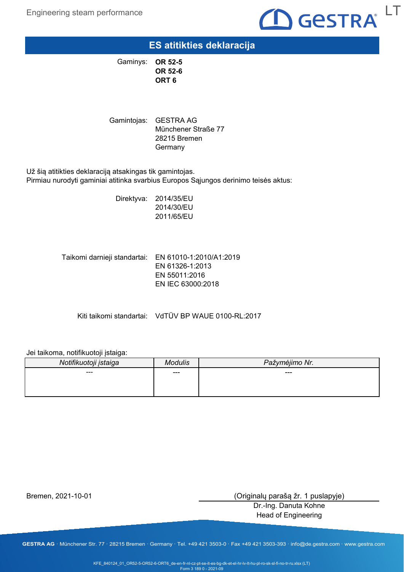

## **ES atitikties deklaracija**

**OR 52-5** Gaminys: **OR 52-6 ORT 6**

Gamintojas: GESTRA AG Münchener Straße 77 28215 Bremen **Germany** 

Už šią atitikties deklaraciją atsakingas tik gamintojas. Pirmiau nurodyti gaminiai atitinka svarbius Europos Sąjungos derinimo teisės aktus:

> Direktyva: 2014/35/EU 2014/30/EU 2011/65/EU

Taikomi darnieji standartai: EN 61010-1:2010/A1:2019 EN 61326-1:2013 EN 55011:2016 EN IEC 63000:2018

Kiti taikomi standartai: VdTÜV BP WAUE 0100-RL:2017

#### Jei taikoma, notifikuotoji įstaiga:

| Notifikuotoji įstaiga | Andulis | Pažymėjimo Nr. |
|-----------------------|---------|----------------|
| ---                   | ---     | ---            |
|                       |         |                |
|                       |         |                |

Bremen, 2021-10-01

(Originalų parašą žr. 1 puslapyje)

Dr.-Ing. Danuta Kohne Head of Engineering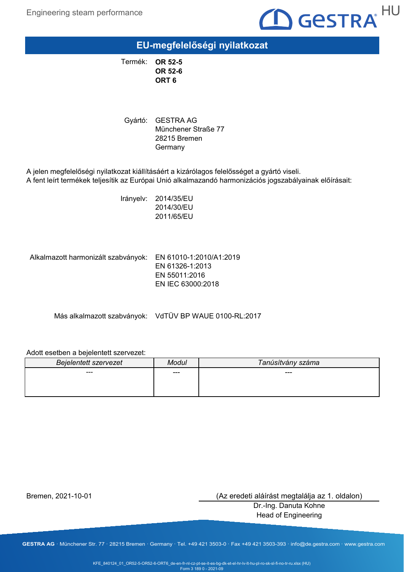

**EU-megfelelőségi nyilatkozat**

**OR 52-5** Termék: **OR 52-6 ORT 6**

Gyártó: GESTRA AG Münchener Straße 77 28215 Bremen **Germany** 

A jelen megfelelőségi nyilatkozat kiállításáért a kizárólagos felelősséget a gyártó viseli. A fent leírt termékek teljesítik az Európai Unió alkalmazandó harmonizációs jogszabályainak előírásait:

> Irányelv: 2014/35/EU 2014/30/EU 2011/65/EU

Alkalmazott harmonizált szabványok: EN 61010-1:2010/A1:2019

EN 61326-1:2013 EN 55011:2016 EN IEC 63000:2018

Más alkalmazott szabványok: VdTÜV BP WAUE 0100-RL:2017

#### Adott esetben a bejelentett szervezet:

| <b>Bejelentett szervezet</b> | Modul | Tanúsítvány száma |
|------------------------------|-------|-------------------|
| ---                          | ---   | ---               |
|                              |       |                   |
|                              |       |                   |

Bremen, 2021-10-01

(Az eredeti aláírást megtalálja az 1. oldalon)

Dr.-Ing. Danuta Kohne Head of Engineering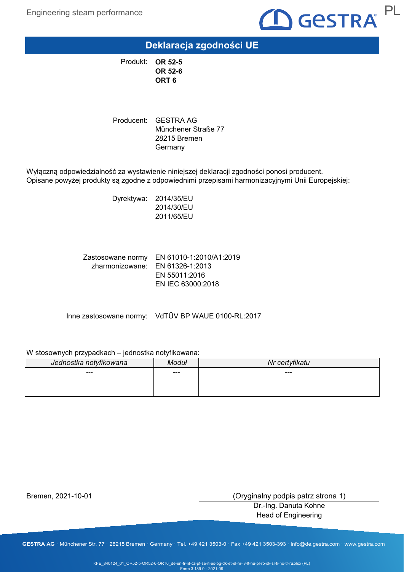

**Deklaracja zgodności UE**

**OR 52-5** Produkt: **OR 52-6 ORT 6**

Producent: GESTRA AG Münchener Straße 77 28215 Bremen Germany

Wyłączną odpowiedzialność za wystawienie niniejszej deklaracji zgodności ponosi producent. Opisane powyżej produkty są zgodne z odpowiednimi przepisami harmonizacyjnymi Unii Europejskiej:

> Dyrektywa: 2014/35/EU 2014/30/EU 2011/65/EU

Zastosowane normy EN 61010-1:2010/A1:2019 zharmonizowane: EN 61326-1:2013 EN 55011:2016 EN IEC 63000:2018

Inne zastosowane normy: VdTÜV BP WAUE 0100-RL:2017

### W stosownych przypadkach – jednostka notyfikowana:

| Jednostka notyfikowana | /loduł | Nr certyfikatu |
|------------------------|--------|----------------|
| ---                    | ---    | ---            |
|                        |        |                |
|                        |        |                |

Bremen, 2021-10-01

(Oryginalny podpis patrz strona 1)

Dr.-Ing. Danuta Kohne Head of Engineering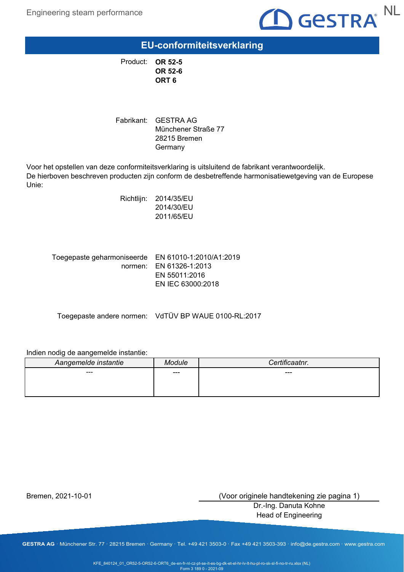

**EU-conformiteitsverklaring**

**OR 52-5** Product: **OR 52-6 ORT 6**

Fabrikant: GESTRA AG Münchener Straße 77 28215 Bremen Germany

Voor het opstellen van deze conformiteitsverklaring is uitsluitend de fabrikant verantwoordelijk. De hierboven beschreven producten zijn conform de desbetreffende harmonisatiewetgeving van de Europese Unie:

> Richtlijn: 2014/35/EU 2014/30/EU 2011/65/EU

Toegepaste geharmoniseerde EN 61010-1:2010/A1:2019 EN 61326-1:2013 normen: EN 55011:2016 EN IEC 63000:2018

Toegepaste andere normen: VdTÜV BP WAUE 0100-RL:2017

#### Indien nodig de aangemelde instantie:

| Aangemelde instantie | odule | Certificaatnr. |
|----------------------|-------|----------------|
| ---                  | ---   | ---            |
|                      |       |                |
|                      |       |                |

Bremen, 2021-10-01

(Voor originele handtekening zie pagina 1)

Dr.-Ing. Danuta Kohne Head of Engineering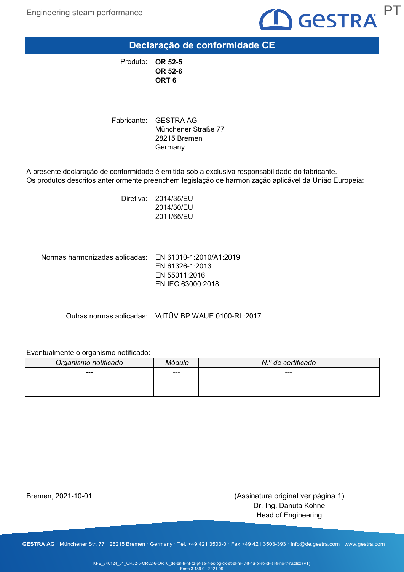

**Declaração de conformidade CE**

**OR 52-5** Produto: **OR 52-6 ORT 6**

Fabricante: GESTRA AG Münchener Straße 77 28215 Bremen **Germany** 

A presente declaração de conformidade é emitida sob a exclusiva responsabilidade do fabricante. Os produtos descritos anteriormente preenchem legislação de harmonização aplicável da União Europeia:

> Diretiva: 2014/35/EU 2014/30/EU 2011/65/EU

Normas harmonizadas aplicadas: EN 61010-1:2010/A1:2019

EN 61326-1:2013 EN 55011:2016 EN IEC 63000:2018

Outras normas aplicadas: VdTÜV BP WAUE 0100-RL:2017

### Eventualmente o organismo notificado:

| Organismo notificado |     | N.º de certificado |
|----------------------|-----|--------------------|
| ---                  | --- | ---                |
|                      |     |                    |
|                      |     |                    |

Bremen, 2021-10-01

(Assinatura original ver página 1)

Dr.-Ing. Danuta Kohne Head of Engineering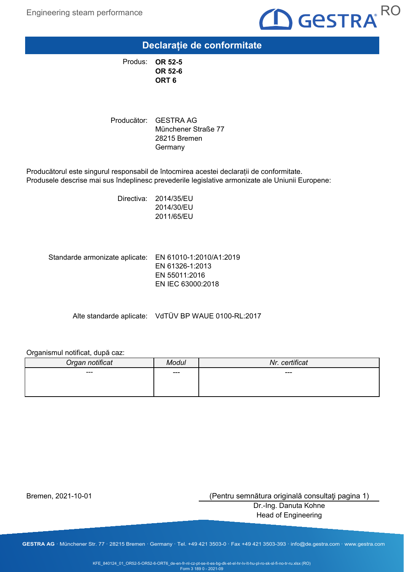

## **Declarație de conformitate**

**OR 52-5** Produs: **OR 52-6 ORT 6**

Producător: GESTRA AG Münchener Straße 77 28215 Bremen **Germany** 

Producătorul este singurul responsabil de întocmirea acestei declarații de conformitate. Produsele descrise mai sus îndeplinesc prevederile legislative armonizate ale Uniunii Europene:

> Directiva: 2014/35/EU 2014/30/EU 2011/65/EU

Standarde armonizate aplicate: EN 61010-1:2010/A1:2019 EN 61326-1:2013 EN 55011:2016 EN IEC 63000:2018

Alte standarde aplicate: VdTÜV BP WAUE 0100-RL:2017

### Organismul notificat, după caz:

| Organ notificat | Modul | Nr. certificat |
|-----------------|-------|----------------|
| $--$            | $---$ | ---            |
|                 |       |                |
|                 |       |                |

Bremen, 2021-10-01

(Pentru semnătura originală consultaţi pagina 1)

Dr.-Ing. Danuta Kohne Head of Engineering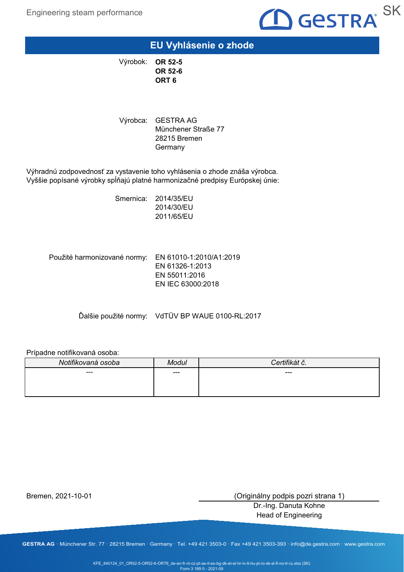

### **EU Vyhlásenie o zhode**

**OR 52-5** Výrobok: **OR 52-6 ORT 6**

Výrobca: GESTRA AG Münchener Straße 77 28215 Bremen **Germany** 

Výhradnú zodpovednosť za vystavenie toho vyhlásenia o zhode znáša výrobca. Vyššie popísané výrobky spĺňajú platné harmonizačné predpisy Európskej únie:

> Smernica: 2014/35/EU 2014/30/EU 2011/65/EU

Použité harmonizované normy: EN 61010-1:2010/A1:2019 EN 61326-1:2013 EN 55011:2016 EN IEC 63000:2018

Ďalšie použité normy: VdTÜV BP WAUE 0100-RL:2017

### Prípadne notifikovaná osoba:

| Notifikovaná osoba | Modul | ntifil⁄át ×<br>ial C. |
|--------------------|-------|-----------------------|
| ---                | ---   | ---                   |
|                    |       |                       |
|                    |       |                       |

Bremen, 2021-10-01

(Originálny podpis pozri strana 1)

Dr.-Ing. Danuta Kohne Head of Engineering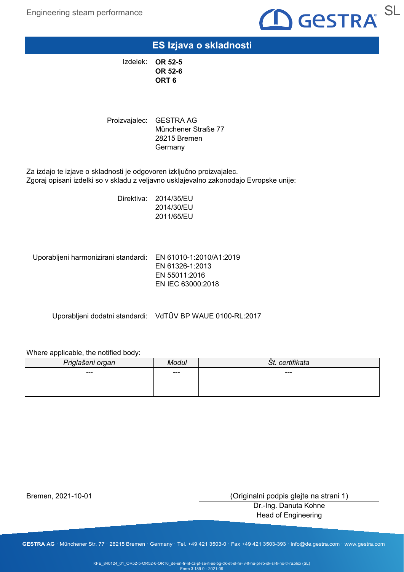

**ES Izjava o skladnosti**

**OR 52-5** Izdelek: **OR 52-6 ORT 6**

Proizvajalec: GESTRA AG Münchener Straße 77 28215 Bremen **Germany** 

Za izdajo te izjave o skladnosti je odgovoren izključno proizvajalec. Zgoraj opisani izdelki so v skladu z veljavno usklajevalno zakonodajo Evropske unije:

> Direktiva: 2014/35/EU 2014/30/EU 2011/65/EU

Uporabljeni harmonizirani standardi: EN 61010-1:2010/A1:2019

EN 61326-1:2013 EN 55011:2016 EN IEC 63000:2018

Uporabljeni dodatni standardi: VdTÜV BP WAUE 0100-RL:2017

### Where applicable, the notified body:

| Priglašeni organ | odul  | rtifikata<br>cen.<br>ST. |
|------------------|-------|--------------------------|
| $--$             | $---$ | ---                      |
|                  |       |                          |
|                  |       |                          |

Bremen, 2021-10-01

(Originalni podpis glejte na strani 1)

Dr.-Ing. Danuta Kohne Head of Engineering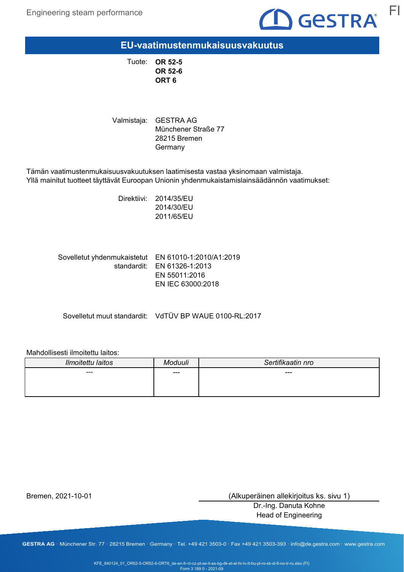

**EU-vaatimustenmukaisuusvakuutus**

**OR 52-5** Tuote: **OR 52-6 ORT 6**

Valmistaja: GESTRA AG Münchener Straße 77 28215 Bremen **Germany** 

Tämän vaatimustenmukaisuusvakuutuksen laatimisesta vastaa yksinomaan valmistaja. Yllä mainitut tuotteet täyttävät Euroopan Unionin yhdenmukaistamislainsäädännön vaatimukset:

> Direktiivi: 2014/35/EU 2014/30/EU 2011/65/EU

Sovelletut yhdenmukaistetut EN 61010-1:2010/A1:2019 standardit: EN 61326-1:2013 EN 55011:2016 EN IEC 63000:2018

Sovelletut muut standardit: VdTÜV BP WAUE 0100-RL:2017

#### Mahdollisesti ilmoitettu laitos:

| Ilmoitettu laitos | Aoduuli | Sertifikaatin nro |
|-------------------|---------|-------------------|
| ---               | ---     | ---               |
|                   |         |                   |
|                   |         |                   |

Bremen, 2021-10-01

(Alkuperäinen allekirjoitus ks. sivu 1)

Dr.-Ing. Danuta Kohne Head of Engineering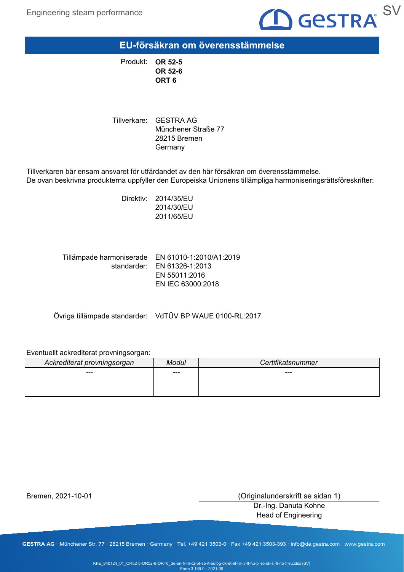

**EU-försäkran om överensstämmelse**

**OR 52-5** Produkt: **OR 52-6 ORT 6**

Tillverkare: GESTRA AG Münchener Straße 77 28215 Bremen Germany

Tillverkaren bär ensam ansvaret för utfärdandet av den här försäkran om överensstämmelse. De ovan beskrivna produkterna uppfyller den Europeiska Unionens tillämpliga harmoniseringsrättsföreskrifter:

> Direktiv: 2014/35/EU 2014/30/EU 2011/65/EU

Tillämpade harmoniserade  $\,$  EN 61010-1:2010/A1:2019 standarder: EN 61326-1:2013 EN 55011:2016 EN IEC 63000:2018

Övriga tillämpade standarder: VdTÜV BP WAUE 0100-RL:2017

### Eventuellt ackrediterat provningsorgan:

| Ackrediterat provningsorgan | Modul | Certifikatsnummer |
|-----------------------------|-------|-------------------|
| ---                         | ---   | ---               |
|                             |       |                   |
|                             |       |                   |

Bremen, 2021-10-01

(Originalunderskrift se sidan 1)

Dr.-Ing. Danuta Kohne Head of Engineering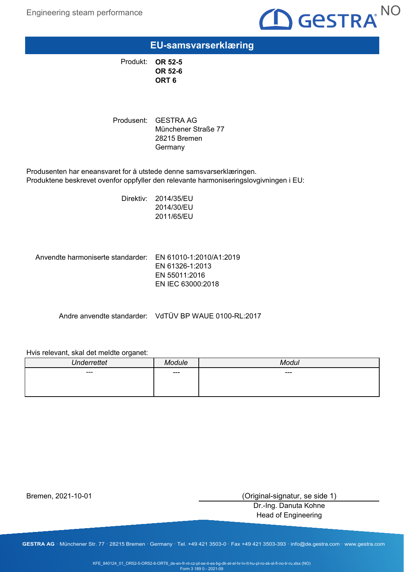

# **EU-samsvarserklæring**

**OR 52-5** Produkt: **OR 52-6 ORT 6**

Produsent: GESTRA AG Münchener Straße 77 28215 Bremen **Germany** 

Produsenten har eneansvaret for å utstede denne samsvarserklæringen. Produktene beskrevet ovenfor oppfyller den relevante harmoniseringslovgivningen i EU:

> Direktiv: 2014/35/EU 2014/30/EU 2011/65/EU

Anvendte harmoniserte standarder: EN 61010-1:2010/A1:2019 EN 61326-1:2013 EN 55011:2016 EN IEC 63000:2018

Andre anvendte standarder: VdTÜV BP WAUE 0100-RL:2017

#### Hvis relevant, skal det meldte organet:

| $\mathbf{L}$ |      |     |
|--------------|------|-----|
| $---$        | $--$ | --- |
|              |      |     |
|              |      |     |

Bremen, 2021-10-01

(Original-signatur, se side 1)

Dr.-Ing. Danuta Kohne Head of Engineering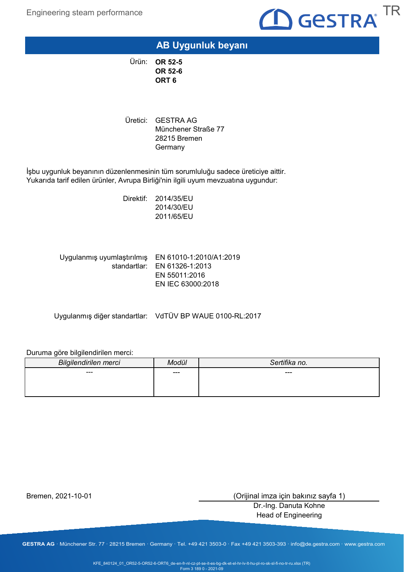

## **AB Uygunluk beyanı**

**OR 52-5** Ürün: **OR 52-6 ORT 6**

Uretici: GESTRA AG Münchener Straße 77 28215 Bremen **Germany** 

İşbu uygunluk beyanının düzenlenmesinin tüm sorumluluğu sadece üreticiye aittir. Yukarıda tarif edilen ürünler, Avrupa Birliği'nin ilgili uyum mevzuatına uygundur:

> Direktif: 2014/35/EU 2014/30/EU 2011/65/EU

EN 61010-1:2010/A1:2019 Uygulanmış uyumlaştırılmış standartlar: EN 61326-1:2013 EN 55011:2016 EN IEC 63000:2018

Uygulanmış diğer standartlar: VdTÜV BP WAUE 0100-RL:2017

### Duruma göre bilgilendirilen merci:

| <b>Bilgilendirilen merci</b> | Modül | Sertifika no. |
|------------------------------|-------|---------------|
| ---                          | ---   | ---           |
|                              |       |               |
|                              |       |               |

Bremen, 2021-10-01

(Orijinal imza için bakınız sayfa 1)

Dr.-Ing. Danuta Kohne Head of Engineering